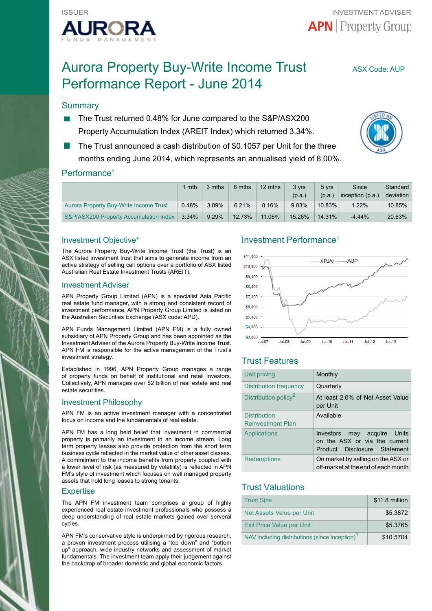

# Aurora Property Buy-Write Income Trust ASX Code: AUP Performance Report - June 2014

# **Summary**

- The Trust returned 0.48% for June compared to the S&P/ASX200 Property Accumulation Index (AREIT Index) which returned 3.34%.
- The Trust announced a cash distribution of \$0.1057 per Unit for the three months ending June 2014, which represents an annualised yield of 8.00%.



### Performance<sup>1</sup>

|                                        | mth      | 3 mths   | 6 mths | 12 mths | 3 yrs<br>(p.a.) | 5 yrs<br>(p.a.) | Since<br>inception (p.a.) | Standard<br>deviation |
|----------------------------------------|----------|----------|--------|---------|-----------------|-----------------|---------------------------|-----------------------|
| Aurora Property Buy-Write Income Trust | 0.48%    | 3.89%    | 6.21%  | 8.16%   | $9.03\%$        | 10.83%          | $1.22\%$                  | $10.85\%$             |
| S&P/ASX200 Property Accumulation Index | $3.34\%$ | $9.29\%$ | 12.73% | 11.06%  | 15.26%          | $14.31\%$       | $-4.44%$                  | 20.63%                |

#### Investment Objective\*

The Aurora Property Buy-Write Income Trust (the Trust) is an ASX listed investment trust that aims to generate income from an active strategy of selling call options over a portfolio of ASX listed Australian Real Estate Investment Trusts (AREIT).

#### Investment Adviser

APN Property Group Limited (APN) is a specialist Asia Pacific real estate fund manager, with a strong and consistent record of investment performance. APN Property Group Limited is listed on the Australian Securities Exchange (ASX code: APD).

APN Funds Management Limited (APN FM) is a fully owned subsidiary of APN Property Group and has been appointed as the Investment Adviser of the Aurora Property Buy-Write Income Trust. APN FM is responsible for the active management of the Trust's investment strategy.

Established in 1996, APN Property Group manages a range of property funds on behalf of institutional and retail investors. Collectively, APN manages over \$2 billion of real estate and real estate securities.

#### Investment Philosophy

APN FM is an active investment manager with a concentrated focus on income and the fundamentals of real estate.

APN FM has a long held belief that investment in commercial property is primarily an investment in an income stream. Long term property leases also provide protection from the short term business cycle reflected in the market value of other asset classes. A commitment to the income benefits from property coupled with a lower level of risk (as measured by volatility) is reflected in APN FM's style of investment which focuses on well managed property assets that hold long leases to strong tenants.

#### **Expertise**

The APN FM investment team comprises a group of highly experienced real estate investment professionals who possess a deep understanding of real estate markets gained over serveral cycles.

APN FM's conservative style is underpinned by rigorous research, a proven investment process utilising a "top down" and "bottom up" approach, wide industry networks and assessment of market fundamentals. The investment team apply their judgement against the backdrop of broader domestic and global economic factors.

### Investment Performance1



# Trust Features

| Unit pricing                             | Monthly                                                                                         |
|------------------------------------------|-------------------------------------------------------------------------------------------------|
| Distribution frequency                   | Quarterly                                                                                       |
| Distribution policy <sup>2</sup>         | At least 2.0% of Net Asset Value<br>per Unit                                                    |
| Distribution<br><b>Reinvestment Plan</b> | Available                                                                                       |
| Applications                             | may acquire Units<br>Investors<br>on the ASX or via the current<br>Product Disclosure Statement |
| <b>Redemptions</b>                       | On market by selling on the ASX or<br>off-market at the end of each month                       |

# Trust Valuations

| <b>Trust Size</b>                                          | \$11.8 million |
|------------------------------------------------------------|----------------|
| Net Assets Value per Unit                                  | \$5.3872       |
| Exit Price Value per Unit                                  | \$5.3765       |
| NAV including distributions (since inception) <sup>1</sup> | \$10.5704      |